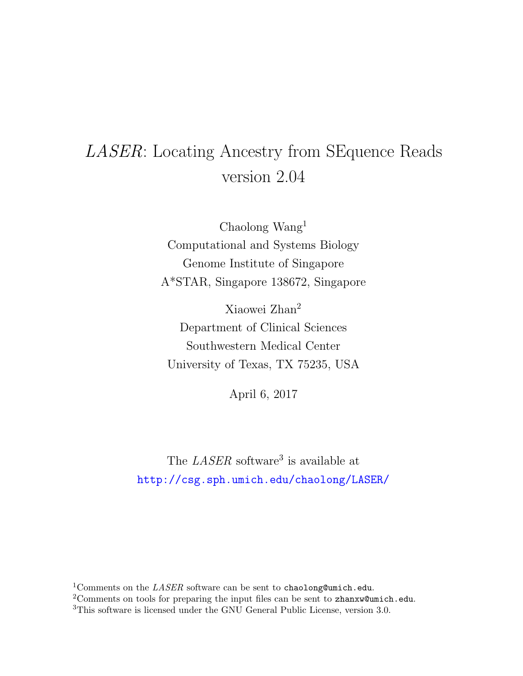# LASER: Locating Ancestry from SEquence Reads version 2.04

Chaolong Wang<sup>1</sup> Computational and Systems Biology Genome Institute of Singapore A\*STAR, Singapore 138672, Singapore

Xiaowei Zhan<sup>2</sup> Department of Clinical Sciences Southwestern Medical Center University of Texas, TX 75235, USA

April 6, 2017

The *LASER* software<sup>3</sup> is available at <http://csg.sph.umich.edu/chaolong/LASER/>

<sup>1</sup>Comments on the *LASER* software can be sent to chaolong@umich.edu.

<sup>2</sup>Comments on tools for preparing the input files can be sent to zhanxw@umich.edu.

<sup>3</sup>This software is licensed under the GNU General Public License, version 3.0.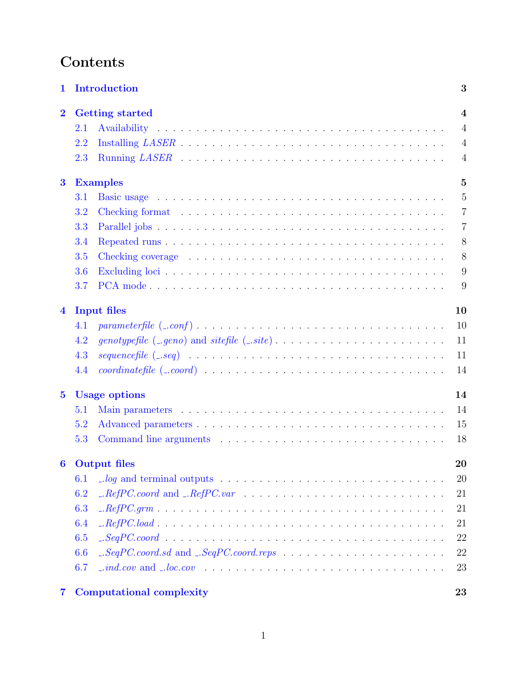# Contents

| 1                       |     | Introduction                                                                                                            | 3              |  |  |  |
|-------------------------|-----|-------------------------------------------------------------------------------------------------------------------------|----------------|--|--|--|
| $\overline{2}$          |     | <b>Getting started</b>                                                                                                  |                |  |  |  |
|                         | 2.1 |                                                                                                                         | $\overline{4}$ |  |  |  |
|                         | 2.2 |                                                                                                                         | $\overline{4}$ |  |  |  |
|                         | 2.3 |                                                                                                                         | $\overline{4}$ |  |  |  |
| $\bf{3}$                |     | <b>Examples</b>                                                                                                         | $\overline{5}$ |  |  |  |
|                         | 3.1 |                                                                                                                         | $\overline{5}$ |  |  |  |
|                         | 3.2 |                                                                                                                         | $\overline{7}$ |  |  |  |
|                         | 3.3 |                                                                                                                         | $\overline{7}$ |  |  |  |
|                         | 3.4 |                                                                                                                         | $8\,$          |  |  |  |
|                         | 3.5 |                                                                                                                         | 8              |  |  |  |
|                         | 3.6 |                                                                                                                         | 9              |  |  |  |
|                         | 3.7 |                                                                                                                         | 9              |  |  |  |
| $\overline{\mathbf{4}}$ |     | <b>Input files</b>                                                                                                      | 10             |  |  |  |
|                         | 4.1 | $parameter file \ ( \_conf ) \dots \dots \dots \dots \dots \dots \dots \dots \dots \dots \dots \dots \dots \dots \dots$ | 10             |  |  |  |
|                         | 4.2 |                                                                                                                         | 11             |  |  |  |
|                         | 4.3 |                                                                                                                         | 11             |  |  |  |
|                         | 4.4 |                                                                                                                         | 14             |  |  |  |
| $\overline{\mathbf{5}}$ |     | <b>Usage options</b>                                                                                                    | 14             |  |  |  |
|                         | 5.1 |                                                                                                                         | 14             |  |  |  |
|                         | 5.2 |                                                                                                                         | 15             |  |  |  |
|                         | 5.3 |                                                                                                                         | 18             |  |  |  |
|                         |     | 6 Output files                                                                                                          | 20             |  |  |  |
|                         | 6.1 | $\Box$ log and terminal outputs $\ldots \ldots \ldots \ldots \ldots \ldots \ldots \ldots \ldots$                        | 20             |  |  |  |
|                         | 6.2 |                                                                                                                         | 21             |  |  |  |
|                         | 6.3 |                                                                                                                         | 21             |  |  |  |
|                         | 6.4 |                                                                                                                         | 21             |  |  |  |
|                         | 6.5 |                                                                                                                         | 22             |  |  |  |
|                         | 6.6 |                                                                                                                         | $22\,$         |  |  |  |
|                         | 6.7 |                                                                                                                         | 23             |  |  |  |
| $\overline{7}$          |     | <b>Computational complexity</b>                                                                                         | 23             |  |  |  |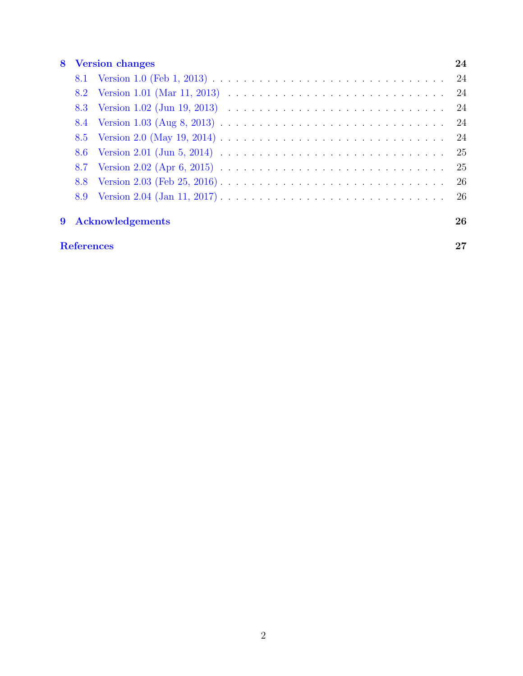## [8 Version changes](#page-24-0) 24

|  | 9 Acknowledgements | 26 |
|--|--------------------|----|
|  |                    |    |
|  |                    |    |
|  |                    | 25 |
|  |                    |    |
|  |                    |    |
|  |                    |    |
|  |                    |    |
|  |                    |    |
|  |                    |    |
|  |                    |    |

# [References](#page-27-0) 27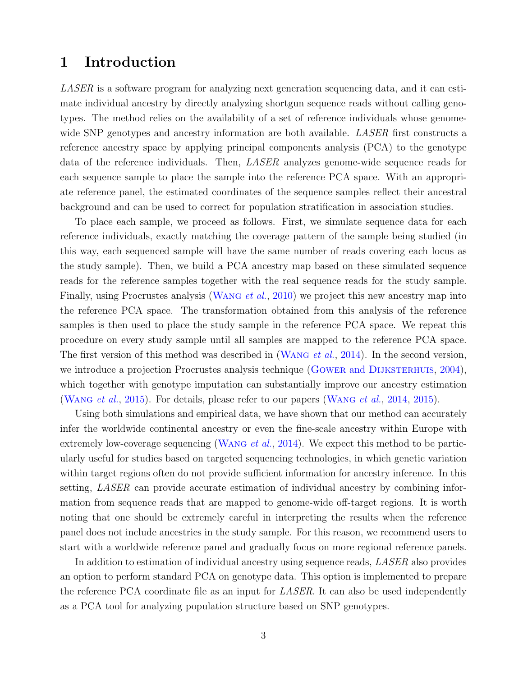# <span id="page-3-0"></span>1 Introduction

LASER is a software program for analyzing next generation sequencing data, and it can estimate individual ancestry by directly analyzing shortgun sequence reads without calling genotypes. The method relies on the availability of a set of reference individuals whose genomewide SNP genotypes and ancestry information are both available. *LASER* first constructs a reference ancestry space by applying principal components analysis (PCA) to the genotype data of the reference individuals. Then, LASER analyzes genome-wide sequence reads for each sequence sample to place the sample into the reference PCA space. With an appropriate reference panel, the estimated coordinates of the sequence samples reflect their ancestral background and can be used to correct for population stratification in association studies.

To place each sample, we proceed as follows. First, we simulate sequence data for each reference individuals, exactly matching the coverage pattern of the sample being studied (in this way, each sequenced sample will have the same number of reads covering each locus as the study sample). Then, we build a PCA ancestry map based on these simulated sequence reads for the reference samples together with the real sequence reads for the study sample. Finally, using Procrustes analysis (WANG et al., [2010\)](#page-27-1) we project this new ancestry map into the reference PCA space. The transformation obtained from this analysis of the reference samples is then used to place the study sample in the reference PCA space. We repeat this procedure on every study sample until all samples are mapped to the reference PCA space. The first version of this method was described in (WANG *et al.*, [2014\)](#page-27-2). In the second version, we introduce a projection Procrustes analysis technique (GOWER and DIJKSTERHUIS, [2004\)](#page-27-3), which together with genotype imputation can substantially improve our ancestry estimation ([Wang](#page-27-4) et al., [2015\)](#page-27-4). For details, please refer to our papers ([Wang](#page-27-2) et al., [2014,](#page-27-2) [2015\)](#page-27-4).

Using both simulations and empirical data, we have shown that our method can accurately infer the worldwide continental ancestry or even the fine-scale ancestry within Europe with extremely low-coverage sequencing (WANG *et al.*, [2014\)](#page-27-2). We expect this method to be particularly useful for studies based on targeted sequencing technologies, in which genetic variation within target regions often do not provide sufficient information for ancestry inference. In this setting, LASER can provide accurate estimation of individual ancestry by combining information from sequence reads that are mapped to genome-wide off-target regions. It is worth noting that one should be extremely careful in interpreting the results when the reference panel does not include ancestries in the study sample. For this reason, we recommend users to start with a worldwide reference panel and gradually focus on more regional reference panels.

In addition to estimation of individual ancestry using sequence reads, LASER also provides an option to perform standard PCA on genotype data. This option is implemented to prepare the reference PCA coordinate file as an input for *LASER*. It can also be used independently as a PCA tool for analyzing population structure based on SNP genotypes.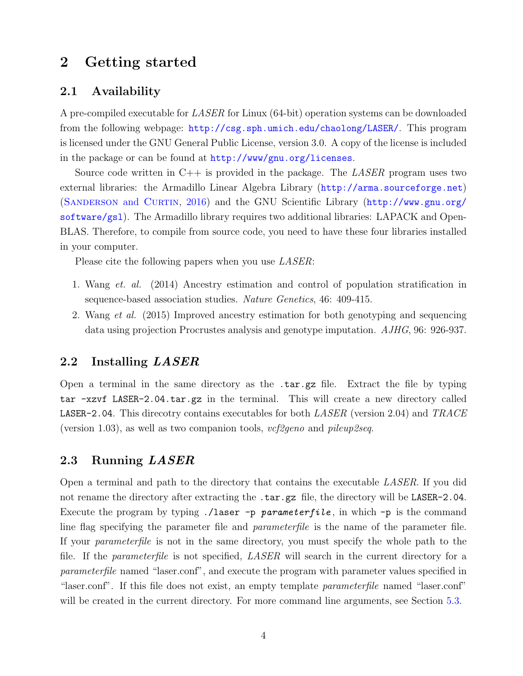# <span id="page-4-0"></span>2 Getting started

#### <span id="page-4-1"></span>2.1 Availability

A pre-compiled executable for LASER for Linux (64-bit) operation systems can be downloaded from the following webpage: <http://csg.sph.umich.edu/chaolong/LASER/>. This program is licensed under the GNU General Public License, version 3.0. A copy of the license is included in the package or can be found at <http://www/gnu.org/licenses>.

Source code written in  $C_{++}$  is provided in the package. The LASER program uses two external libraries: the Armadillo Linear Algebra Library (<http://arma.sourceforge.net>) (SANDERSON and CURTIN, [2016\)](#page-27-5) and the GNU Scientific Library ([http://www.gnu.org/](http://www.gnu.org/software/gsl) [software/gsl](http://www.gnu.org/software/gsl)). The Armadillo library requires two additional libraries: LAPACK and Open-BLAS. Therefore, to compile from source code, you need to have these four libraries installed in your computer.

Please cite the following papers when you use *LASER*:

- 1. Wang et. al. (2014) Ancestry estimation and control of population stratification in sequence-based association studies. Nature Genetics, 46: 409-415.
- 2. Wang et al. (2015) Improved ancestry estimation for both genotyping and sequencing data using projection Procrustes analysis and genotype imputation. AJHG, 96: 926-937.

#### <span id="page-4-2"></span>2.2 Installing LASER

Open a terminal in the same directory as the .tar.gz file. Extract the file by typing tar -xzvf LASER-2.04.tar.gz in the terminal. This will create a new directory called **LASER-2.04.** This direcotry contains executables for both  $LASER$  (version 2.04) and  $TRACE$ (version 1.03), as well as two companion tools,  $vcf2geno$  and  $pileup2seq$ .

#### <span id="page-4-3"></span>2.3 Running LASER

Open a terminal and path to the directory that contains the executable LASER. If you did not rename the directory after extracting the .tar.gz file, the directory will be LASER-2.04. Execute the program by typing  $\cdot$ /laser -p parameterfile, in which -p is the command line flag specifying the parameter file and parameterfile is the name of the parameter file. If your parameterfile is not in the same directory, you must specify the whole path to the file. If the *parameterfile* is not specified, *LASER* will search in the current directory for a parameterfile named "laser.conf", and execute the program with parameter values specified in "laser.conf". If this file does not exist, an empty template *parameterfile* named "laser.conf" will be created in the current directory. For more command line arguments, see Section [5.3.](#page-18-0)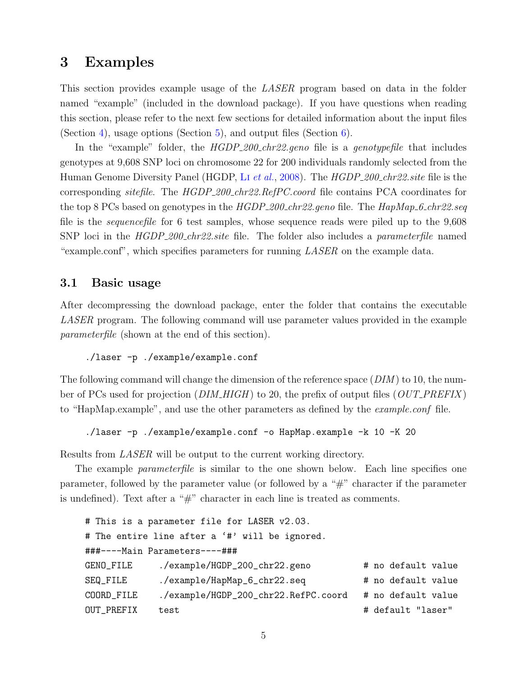# <span id="page-5-0"></span>3 Examples

This section provides example usage of the LASER program based on data in the folder named "example" (included in the download package). If you have questions when reading this section, please refer to the next few sections for detailed information about the input files (Section [4\)](#page-10-0), usage options (Section [5\)](#page-14-1), and output files (Section  $6$ ).

In the "example" folder, the  $HGDP_200\_{chr22.geno}$  file is a genotypefile that includes genotypes at 9,608 SNP loci on chromosome 22 for 200 individuals randomly selected from the Human Genome Diversity Panel (HGDP, Li [et al.](#page-27-6), [2008\)](#page-27-6). The HGDP\_200\_chr22.site file is the corresponding *sitefile*. The HGDP\_200\_chr22.RefPC.coord file contains PCA coordinates for the top 8 PCs based on genotypes in the  $HGDP_{200\text{-}chr22\text{-}}geno$  file. The  $HapMap_{2\text{-}chr22\text{-}}seq$ file is the sequencefile for 6 test samples, whose sequence reads were piled up to the 9,608 SNP loci in the *HGDP\_200\_chr22.site* file. The folder also includes a *parameterfile* named "example.conf", which specifies parameters for running  $LASER$  on the example data.

## <span id="page-5-1"></span>3.1 Basic usage

After decompressing the download package, enter the folder that contains the executable LASER program. The following command will use parameter values provided in the example parameterfile (shown at the end of this section).

./laser -p ./example/example.conf

The following command will change the dimension of the reference space  $(DIM)$  to 10, the number of PCs used for projection ( $DIM\_HIGH$ ) to 20, the prefix of output files ( $OUT\_PREFIX$ ) to "HapMap.example", and use the other parameters as defined by the example.conf file.

./laser -p ./example/example.conf -o HapMap.example -k 10 -K 20

Results from LASER will be output to the current working directory.

The example *parameterfile* is similar to the one shown below. Each line specifies one parameter, followed by the parameter value (or followed by a "#" character if the parameter is undefined). Text after a " $\#$ " character in each line is treated as comments.

```
# This is a parameter file for LASER v2.03.
# The entire line after a '#' will be ignored.
###----Main Parameters----###
GENO_FILE ./example/HGDP_200_chr22.geno # no default value
SEQ_FILE ./example/HapMap_6_chr22.seq    # no default value
COORD_FILE ./example/HGDP_200_chr22.RefPC.coord # no default value
OUT_PREFIX test \qquad test \qquad \qquad \qquad \qquad \qquad \qquad \qquad \qquad \qquad \qquad \qquad \qquad \qquad \qquad \qquad \qquad \qquad \qquad \qquad \qquad \qquad \qquad \qquad \qquad \qquad \qquad \qquad \qquad \qquad \qquad \qquad \qquad \q
```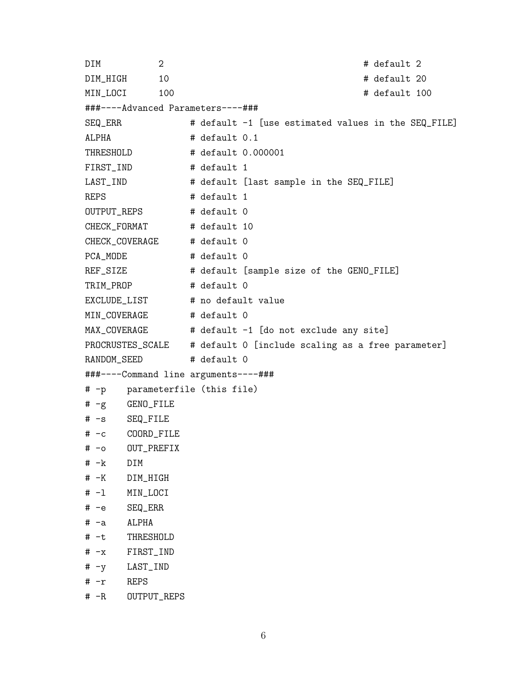DIM 2 # default 2 DIM\_HIGH 10 # default 20 MIN\_LOCI 100 # default 100 ###----Advanced Parameters----### SEQ\_ERR # default -1 [use estimated values in the SEQ\_FILE] ALPHA  $\qquad$  # default 0.1 THRESHOLD  $\#$  default 0.000001 FIRST\_IND # default 1 LAST\_IND  $\qquad$  # default [last sample in the SEQ\_FILE] REPS # default 1 OUTPUT\_REPS # default 0 CHECK\_FORMAT # default 10 CHECK\_COVERAGE # default 0 PCA\_MODE # default 0 REF\_SIZE # default [sample size of the GENO\_FILE] TRIM\_PROP # default 0 EXCLUDE\_LIST # no default value MIN\_COVERAGE # default 0 MAX\_COVERAGE # default -1 [do not exclude any site] PROCRUSTES\_SCALE # default 0 [include scaling as a free parameter] RANDOM\_SEED # default 0 ###----Command line arguments----### # -p parameterfile (this file) # -g GENO\_FILE # -s SEQ\_FILE # -c COORD\_FILE # -o OUT\_PREFIX # -k DIM # -K DIM\_HIGH # -l MIN\_LOCI # -e SEQ\_ERR # -a ALPHA # -t THRESHOLD # -x FIRST\_IND # -y LAST\_IND # -r REPS # -R OUTPUT\_REPS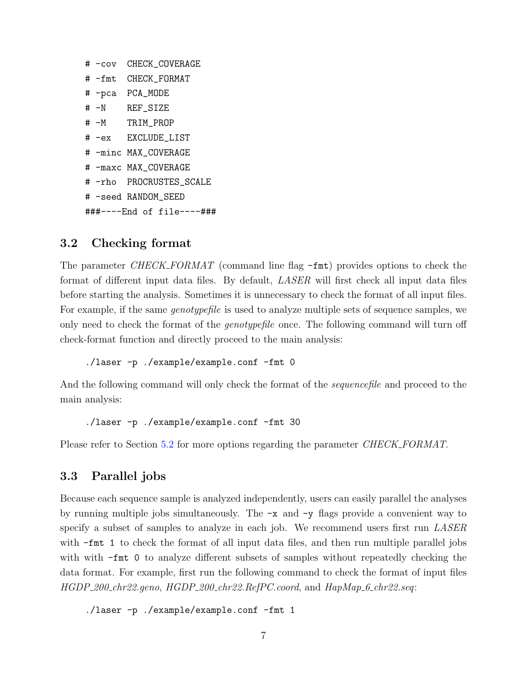| # -cov | CHECK COVERAGE            |
|--------|---------------------------|
|        | # -fmt CHECK FORMAT       |
|        | # -pca PCA_MODE           |
| $# -N$ | REF SIZE                  |
|        | # -M TRIM PROP            |
|        | # -ex EXCLUDE LIST        |
|        | # -minc MAX_COVERAGE      |
|        | # -maxc MAX_COVERAGE      |
|        | # -rho PROCRUSTES SCALE   |
|        | # -seed RANDOM SEED       |
|        | ###----End of file----### |

#### <span id="page-7-0"></span>3.2 Checking format

The parameter CHECK\_FORMAT (command line flag  $-\text{fmt}$ ) provides options to check the format of different input data files. By default, LASER will first check all input data files before starting the analysis. Sometimes it is unnecessary to check the format of all input files. For example, if the same *genotypefile* is used to analyze multiple sets of sequence samples, we only need to check the format of the genotypefile once. The following command will turn off check-format function and directly proceed to the main analysis:

./laser -p ./example/example.conf -fmt 0

And the following command will only check the format of the *sequencefile* and proceed to the main analysis:

```
./laser -p ./example/example.conf -fmt 30
```
Please refer to Section [5.2](#page-15-0) for more options regarding the parameter *CHECK\_FORMAT*.

#### <span id="page-7-1"></span>3.3 Parallel jobs

Because each sequence sample is analyzed independently, users can easily parallel the analyses by running multiple jobs simultaneously. The  $-x$  and  $-y$  flags provide a convenient way to specify a subset of samples to analyze in each job. We recommend users first run *LASER* with  $-fmt 1$  to check the format of all input data files, and then run multiple parallel jobs with with  $-fmt 0$  to analyze different subsets of samples without repeatedly checking the data format. For example, first run the following command to check the format of input files HGDP\_200\_chr22.geno, HGDP\_200\_chr22.RefPC.coord, and HapMap\_6\_chr22.seq:

```
./laser -p ./example/example.conf -fmt 1
```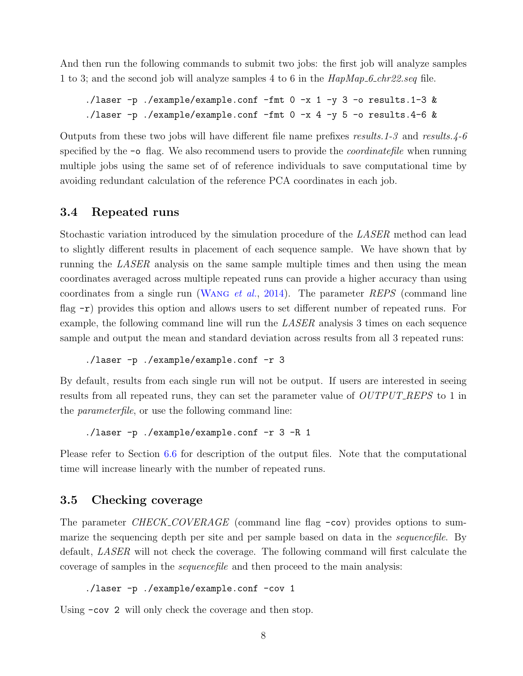And then run the following commands to submit two jobs: the first job will analyze samples 1 to 3; and the second job will analyze samples 4 to 6 in the  $\text{HapMap}\text{-}6\text{-}chr22\text{.}seq$  file.

```
./laser -p ./example/example.conf -fmt 0 -x 1 -y 3 -o results.1-3 &
./laser -p ./example/example.conf -fmt 0 -x 4 -y 5 -o results.4-6 &
```
Outputs from these two jobs will have different file name prefixes results.1-3 and results.4-6 specified by the  $\sim$  flag. We also recommend users to provide the *coordinatefile* when running multiple jobs using the same set of of reference individuals to save computational time by avoiding redundant calculation of the reference PCA coordinates in each job.

## <span id="page-8-0"></span>3.4 Repeated runs

Stochastic variation introduced by the simulation procedure of the LASER method can lead to slightly different results in placement of each sequence sample. We have shown that by running the LASER analysis on the same sample multiple times and then using the mean coordinates averaged across multiple repeated runs can provide a higher accuracy than using coordinates from a single run (WANG *et al.*, [2014\)](#page-27-2). The parameter REPS (command line flag  $-r$ ) provides this option and allows users to set different number of repeated runs. For example, the following command line will run the LASER analysis 3 times on each sequence sample and output the mean and standard deviation across results from all 3 repeated runs:

```
./laser -p ./example/example.conf -r 3
```
By default, results from each single run will not be output. If users are interested in seeing results from all repeated runs, they can set the parameter value of  $OUTPUT\_REPS$  to 1 in the parameterfile, or use the following command line:

./laser -p ./example/example.conf -r 3 -R 1

Please refer to Section [6.6](#page-22-1) for description of the output files. Note that the computational time will increase linearly with the number of repeated runs.

#### <span id="page-8-1"></span>3.5 Checking coverage

The parameter CHECK\_COVERAGE (command line flag  $-\text{cov}$ ) provides options to summarize the sequencing depth per site and per sample based on data in the *sequencefile*. By default, LASER will not check the coverage. The following command will first calculate the coverage of samples in the sequencefile and then proceed to the main analysis:

```
./laser -p ./example/example.conf -cov 1
```
Using  $-\cos 2$  will only check the coverage and then stop.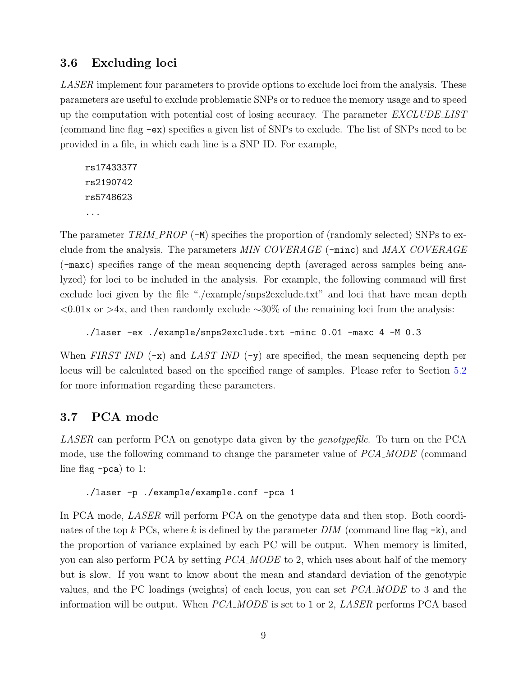# <span id="page-9-0"></span>3.6 Excluding loci

LASER implement four parameters to provide options to exclude loci from the analysis. These parameters are useful to exclude problematic SNPs or to reduce the memory usage and to speed up the computation with potential cost of losing accuracy. The parameter EXCLUDE LIST (command line flag -ex) specifies a given list of SNPs to exclude. The list of SNPs need to be provided in a file, in which each line is a SNP ID. For example,

```
rs17433377
rs2190742
rs5748623
...
```
The parameter  $TRIM\_PROP$  (-M) specifies the proportion of (randomly selected) SNPs to exclude from the analysis. The parameters  $MIN\_COVERAGE$  ( $\lnot$ minc) and  $MAX\_COVERAGE$ (-maxc) specifies range of the mean sequencing depth (averaged across samples being analyzed) for loci to be included in the analysis. For example, the following command will first exclude loci given by the file "./example/snps2exclude.txt" and loci that have mean depth  $\langle 0.01x \text{ or } 0.01x \text{ or } 0.04x \rangle$ , and then randomly exclude ∼30% of the remaining loci from the analysis:

./laser -ex ./example/snps2exclude.txt -minc 0.01 -maxc 4 -M 0.3

When FIRST-IND  $(-x)$  and LAST-IND  $(-y)$  are specified, the mean sequencing depth per locus will be calculated based on the specified range of samples. Please refer to Section [5.2](#page-15-0) for more information regarding these parameters.

# <span id="page-9-1"></span>3.7 PCA mode

LASER can perform PCA on genotype data given by the *genotypefile*. To turn on the PCA mode, use the following command to change the parameter value of PCA MODE (command line flag -pca) to 1:

#### ./laser -p ./example/example.conf -pca 1

In PCA mode, LASER will perform PCA on the genotype data and then stop. Both coordinates of the top k PCs, where k is defined by the parameter  $DIM$  (command line flag  $-k$ ), and the proportion of variance explained by each PC will be output. When memory is limited, you can also perform PCA by setting *PCA\_MODE* to 2, which uses about half of the memory but is slow. If you want to know about the mean and standard deviation of the genotypic values, and the PC loadings (weights) of each locus, you can set PCA MODE to 3 and the information will be output. When PCA\_MODE is set to 1 or 2, LASER performs PCA based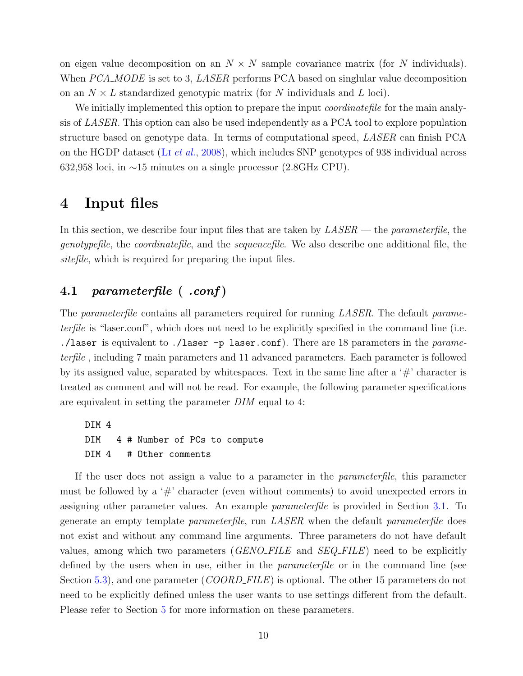on eigen value decomposition on an  $N \times N$  sample covariance matrix (for N individuals). When PCA\_MODE is set to 3, LASER performs PCA based on singlular value decomposition on an  $N \times L$  standardized genotypic matrix (for N individuals and L loci).

We initially implemented this option to prepare the input *coordinatefile* for the main analysis of LASER. This option can also be used independently as a PCA tool to explore population structure based on genotype data. In terms of computational speed, LASER can finish PCA on the HGDP dataset (Li [et al.](#page-27-6), [2008\)](#page-27-6), which includes SNP genotypes of 938 individual across 632,958 loci, in ∼15 minutes on a single processor (2.8GHz CPU).

## <span id="page-10-0"></span>4 Input files

In this section, we describe four input files that are taken by  $LASER$  — the *parameterfile*, the genotypefile, the coordinatefile, and the sequencefile. We also describe one additional file, the sitefile, which is required for preparing the input files.

## <span id="page-10-1"></span>4.1 parameterfile  $(-\text{conf})$

The parameterfile contains all parameters required for running LASER. The default parameterfile is "laser.conf", which does not need to be explicitly specified in the command line (i.e. ./laser is equivalent to ./laser  $-p$  laser.conf). There are 18 parameters in the *parame*terfile , including 7 main parameters and 11 advanced parameters. Each parameter is followed by its assigned value, separated by whitespaces. Text in the same line after a  $\#$  character is treated as comment and will not be read. For example, the following parameter specifications are equivalent in setting the parameter DIM equal to 4:

DIM 4 DIM 4 # Number of PCs to compute DIM 4 # Other comments

If the user does not assign a value to a parameter in the *parameterfile*, this parameter must be followed by a  $\#$  character (even without comments) to avoid unexpected errors in assigning other parameter values. An example parameterfile is provided in Section [3.1.](#page-5-1) To generate an empty template parameterfile, run LASER when the default parameterfile does not exist and without any command line arguments. Three parameters do not have default values, among which two parameters  $(GENO$ -FILE and  $SEG$ -FILE) need to be explicitly defined by the users when in use, either in the *parameterfile* or in the command line (see Section [5.3\)](#page-18-0), and one parameter (*COORD\_FILE*) is optional. The other 15 parameters do not need to be explicitly defined unless the user wants to use settings different from the default. Please refer to Section [5](#page-14-1) for more information on these parameters.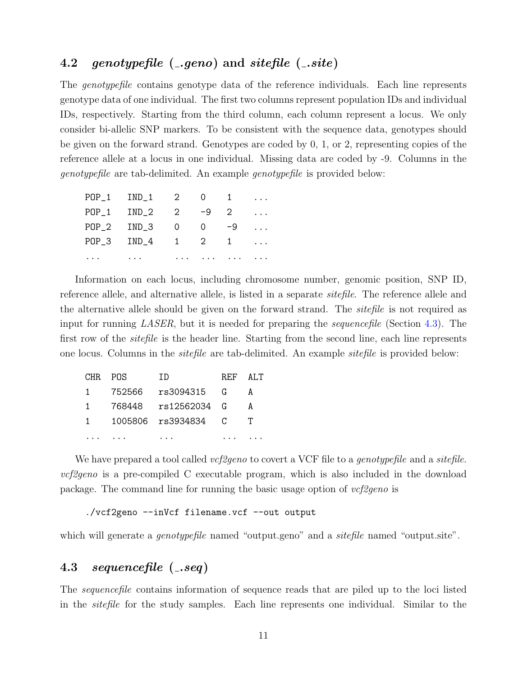# <span id="page-11-0"></span>4.2 genotypefile  $(-.geno)$  and sitefile  $(-.site)$

The *genotypefile* contains genotype data of the reference individuals. Each line represents genotype data of one individual. The first two columns represent population IDs and individual IDs, respectively. Starting from the third column, each column represent a locus. We only consider bi-allelic SNP markers. To be consistent with the sequence data, genotypes should be given on the forward strand. Genotypes are coded by 0, 1, or 2, representing copies of the reference allele at a locus in one individual. Missing data are coded by -9. Columns in the genotypefile are tab-delimited. An example genotypefile is provided below:

|          | POP_1 IND_1 2 0 1                  |                                                                                                                                                                                                                                |  | $\cdots$            |
|----------|------------------------------------|--------------------------------------------------------------------------------------------------------------------------------------------------------------------------------------------------------------------------------|--|---------------------|
|          |                                    |                                                                                                                                                                                                                                |  | $\cdots$            |
|          | POP_2 IND_3 0 0 -9                 |                                                                                                                                                                                                                                |  | $\cdots$            |
|          | POP_3 IND_4 1 2 1                  |                                                                                                                                                                                                                                |  | $\cdot \cdot \cdot$ |
| $\cdots$ | $\sim$ $\sim$ $\sim$ $\sim$ $\sim$ | the contract of the contract of the contract of the contract of the contract of the contract of the contract of the contract of the contract of the contract of the contract of the contract of the contract of the contract o |  |                     |

Information on each locus, including chromosome number, genomic position, SNP ID, reference allele, and alternative allele, is listed in a separate *sitefile*. The reference allele and the alternative allele should be given on the forward strand. The sitefile is not required as input for running LASER, but it is needed for preparing the sequencefile (Section [4.3\)](#page-11-1). The first row of the *sitefile* is the header line. Starting from the second line, each line represents one locus. Columns in the sitefile are tab-delimited. An example sitefile is provided below:

| CHR POS        |        | TD                  | REF ALT |   |
|----------------|--------|---------------------|---------|---|
| $\mathbf{1}$   | 752566 | rs3094315 G         |         | А |
| $\overline{1}$ |        | 768448 rs12562034 G |         | А |
| $\mathbf{1}$   |        | 1005806 rs3934834 C |         |   |
|                |        |                     |         |   |

We have prepared a tool called *vcf2geno* to covert a VCF file to a *genotypefile* and a *sitefile*.  $vcf2geno$  is a pre-compiled C executable program, which is also included in the download package. The command line for running the basic usage option of  $vcf2geno$  is

```
./vcf2geno --inVcf filename.vcf --out output
```
which will generate a *genotypefile* named "output.geno" and a *sitefile* named "output.site".

## <span id="page-11-1"></span>4.3 sequencefile (.seq)

The sequencefile contains information of sequence reads that are piled up to the loci listed in the sitefile for the study samples. Each line represents one individual. Similar to the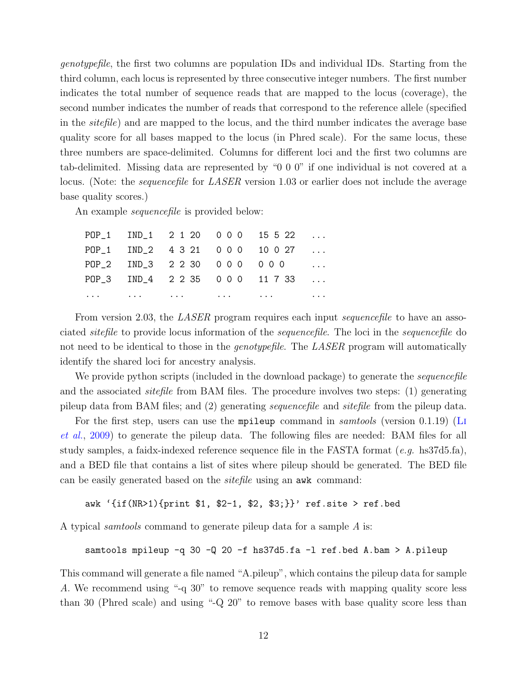genotypefile, the first two columns are population IDs and individual IDs. Starting from the third column, each locus is represented by three consecutive integer numbers. The first number indicates the total number of sequence reads that are mapped to the locus (coverage), the second number indicates the number of reads that correspond to the reference allele (specified in the sitefile) and are mapped to the locus, and the third number indicates the average base quality score for all bases mapped to the locus (in Phred scale). For the same locus, these three numbers are space-delimited. Columns for different loci and the first two columns are tab-delimited. Missing data are represented by "0 0 0" if one individual is not covered at a locus. (Note: the *sequencefile* for *LASER* version 1.03 or earlier does not include the average base quality scores.)

An example *sequencefile* is provided below:

|  | POP_1 IND_2 4321 000 10027 |                                                                                                                                                                                                                                            | $\ldots$ |
|--|----------------------------|--------------------------------------------------------------------------------------------------------------------------------------------------------------------------------------------------------------------------------------------|----------|
|  |                            |                                                                                                                                                                                                                                            | $\ldots$ |
|  |                            | POP_3 IND_4 2235 000 11733                                                                                                                                                                                                                 |          |
|  |                            | $\mathbf{r} \cdot \mathbf{r}$ . The contract of the contract of the contract of the contract of the contract of the contract of the contract of the contract of the contract of the contract of the contract of the contract of the contra |          |

From version 2.03, the *LASER* program requires each input *sequencefile* to have an associated sitefile to provide locus information of the sequencefile. The loci in the sequencefile do not need to be identical to those in the *genotypefile*. The LASER program will automatically identify the shared loci for ancestry analysis.

We provide python scripts (included in the download package) to generate the *sequencefile* and the associated *sitefile* from BAM files. The procedure involves two steps: (1) generating pileup data from BAM files; and (2) generating sequencefile and sitefile from the pileup data.

For the first step, users can use the mpileup command in *samtools* (version 0.1.19) ([Li](#page-27-7) [et al.](#page-27-7), [2009\)](#page-27-7) to generate the pileup data. The following files are needed: BAM files for all study samples, a faidx-indexed reference sequence file in the FASTA format (e.g. hs37d5.fa), and a BED file that contains a list of sites where pileup should be generated. The BED file can be easily generated based on the sitefile using an awk command:

```
awk '{if(NR>1){print $1, $2-1, $2, $3;}}' ref.site > ref.bed
```
A typical samtools command to generate pileup data for a sample A is:

samtools mpileup -q 30 -Q 20 -f hs37d5.fa -l ref.bed A.bam > A.pileup

This command will generate a file named "A.pileup", which contains the pileup data for sample A. We recommend using "-q 30" to remove sequence reads with mapping quality score less than 30 (Phred scale) and using "-Q 20" to remove bases with base quality score less than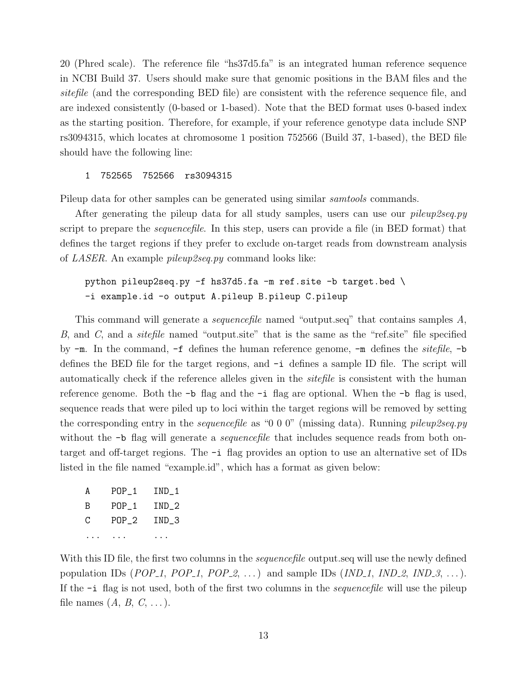20 (Phred scale). The reference file "hs37d5.fa" is an integrated human reference sequence in NCBI Build 37. Users should make sure that genomic positions in the BAM files and the sitefile (and the corresponding BED file) are consistent with the reference sequence file, and are indexed consistently (0-based or 1-based). Note that the BED format uses 0-based index as the starting position. Therefore, for example, if your reference genotype data include SNP rs3094315, which locates at chromosome 1 position 752566 (Build 37, 1-based), the BED file should have the following line:

#### 1 752565 752566 rs3094315

Pileup data for other samples can be generated using similar *samtools* commands.

After generating the pileup data for all study samples, users can use our *pileup2seq.py* script to prepare the *sequencefile*. In this step, users can provide a file (in BED format) that defines the target regions if they prefer to exclude on-target reads from downstream analysis of LASER. An example pileup2seq.py command looks like:

#### python pileup2seq.py -f hs37d5.fa -m ref.site -b target.bed \ -i example.id -o output A.pileup B.pileup C.pileup

This command will generate a *sequencefile* named "output.seq" that contains samples A, B, and C, and a *sitefile* named "output.site" that is the same as the "ref.site" file specified by  $-m$ . In the command,  $-f$  defines the human reference genome,  $-m$  defines the *sitefile*,  $-b$ defines the BED file for the target regions, and -i defines a sample ID file. The script will automatically check if the reference alleles given in the *sitefile* is consistent with the human reference genome. Both the  $\neg$ b flag and the  $\neg$ i flag are optional. When the  $\neg$ b flag is used, sequence reads that were piled up to loci within the target regions will be removed by setting the corresponding entry in the *sequencefile* as "0 0 0" (missing data). Running *pileup2seq.py* without the  $-b$  flag will generate a *sequencefile* that includes sequence reads from both ontarget and off-target regions. The -i flag provides an option to use an alternative set of IDs listed in the file named "example.id", which has a format as given below:

| A | $POP_1$ | IND 1 |
|---|---------|-------|
| B | $POP_1$ | IND 2 |
| C | $POP_2$ | IND 3 |
|   |         |       |

With this ID file, the first two columns in the *sequencefile* output.seq will use the newly defined population IDs (POP\_1, POP\_1, POP\_2, ...) and sample IDs (IND\_1, IND\_2, IND\_3, ...). If the -i flag is not used, both of the first two columns in the sequencefile will use the pileup file names  $(A, B, C, \ldots)$ .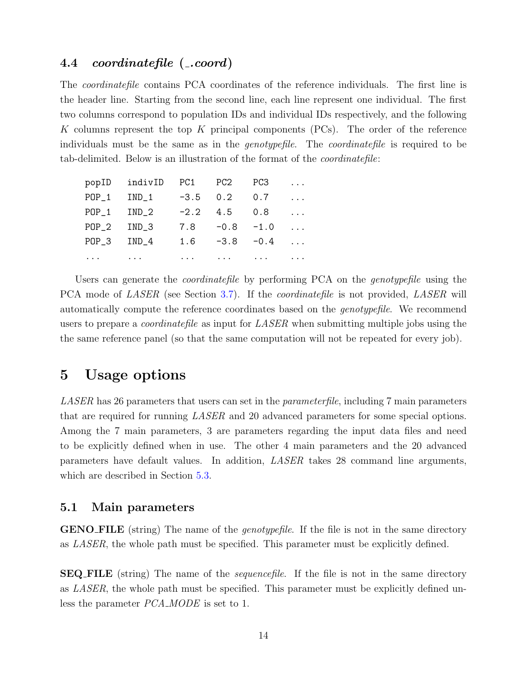## <span id="page-14-0"></span>4.4 coordinatefile (..coord)

The coordinatefile contains PCA coordinates of the reference individuals. The first line is the header line. Starting from the second line, each line represent one individual. The first two columns correspond to population IDs and individual IDs respectively, and the following K columns represent the top K principal components  $(PCs)$ . The order of the reference individuals must be the same as in the *genotypefile*. The *coordinatefile* is required to be tab-delimited. Below is an illustration of the format of the coordinatefile:

|          | popID indivID    | PC1        | PC2                                      | PC3                         | $\cdots$ |
|----------|------------------|------------|------------------------------------------|-----------------------------|----------|
| $POP_1$  | $IND_1$          | $-3.5$ 0.2 |                                          | 0.7                         | $\cdots$ |
| $POP_1$  | IND 2            |            | $-2.2$ 4.5                               | 0.8                         | $\cdots$ |
| $POP_2$  | IND <sub>3</sub> | 7.8        | $-0.8 -1.0$                              |                             | $\cdots$ |
| $POP_3$  | IND <sub>4</sub> | 1.6        | $-3.8 - 0.4$                             |                             | $\cdots$ |
| $\cdots$ | $\cdots$         | $\cdots$   | <b><i>Contract Contract Contract</i></b> | $\sim$ $\sim$ $\sim$ $\sim$ | $\cdots$ |

Users can generate the *coordinatefile* by performing PCA on the *genotypefile* using the PCA mode of *LASER* (see Section [3.7\)](#page-9-1). If the *coordinatefile* is not provided, *LASER* will automatically compute the reference coordinates based on the genotypefile. We recommend users to prepare a *coordinatefile* as input for *LASER* when submitting multiple jobs using the the same reference panel (so that the same computation will not be repeated for every job).

# <span id="page-14-1"></span>5 Usage options

LASER has 26 parameters that users can set in the *parameterfile*, including 7 main parameters that are required for running LASER and 20 advanced parameters for some special options. Among the 7 main parameters, 3 are parameters regarding the input data files and need to be explicitly defined when in use. The other 4 main parameters and the 20 advanced parameters have default values. In addition, LASER takes 28 command line arguments, which are described in Section [5.3.](#page-18-0)

#### <span id="page-14-2"></span>5.1 Main parameters

**GENO FILE** (string) The name of the *genotypefile*. If the file is not in the same directory as LASER, the whole path must be specified. This parameter must be explicitly defined.

**SEQ FILE** (string) The name of the *sequencefile*. If the file is not in the same directory as LASER, the whole path must be specified. This parameter must be explicitly defined unless the parameter *PCA\_MODE* is set to 1.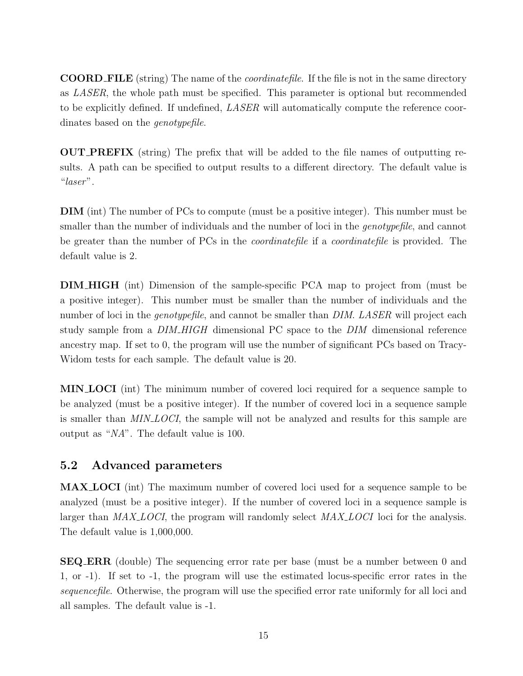**COORD FILE** (string) The name of the *coordinatefile*. If the file is not in the same directory as LASER, the whole path must be specified. This parameter is optional but recommended to be explicitly defined. If undefined, *LASER* will automatically compute the reference coordinates based on the genotypefile.

OUT PREFIX (string) The prefix that will be added to the file names of outputting results. A path can be specified to output results to a different directory. The default value is "laser".

DIM (int) The number of PCs to compute (must be a positive integer). This number must be smaller than the number of individuals and the number of loci in the *genotypefile*, and cannot be greater than the number of PCs in the coordinatefile if a coordinatefile is provided. The default value is 2.

DIM HIGH (int) Dimension of the sample-specific PCA map to project from (must be a positive integer). This number must be smaller than the number of individuals and the number of loci in the *genotypefile*, and cannot be smaller than *DIM. LASER* will project each study sample from a DIM HIGH dimensional PC space to the DIM dimensional reference ancestry map. If set to 0, the program will use the number of significant PCs based on Tracy-Widom tests for each sample. The default value is 20.

MIN LOCI (int) The minimum number of covered loci required for a sequence sample to be analyzed (must be a positive integer). If the number of covered loci in a sequence sample is smaller than *MIN LOCI*, the sample will not be analyzed and results for this sample are output as "NA". The default value is 100.

## <span id="page-15-0"></span>5.2 Advanced parameters

MAX LOCI (int) The maximum number of covered loci used for a sequence sample to be analyzed (must be a positive integer). If the number of covered loci in a sequence sample is larger than MAX<sub>-LOCI</sub>, the program will randomly select MAX-LOCI loci for the analysis. The default value is 1,000,000.

SEQ ERR (double) The sequencing error rate per base (must be a number between 0 and 1, or -1). If set to -1, the program will use the estimated locus-specific error rates in the sequencefile. Otherwise, the program will use the specified error rate uniformly for all loci and all samples. The default value is -1.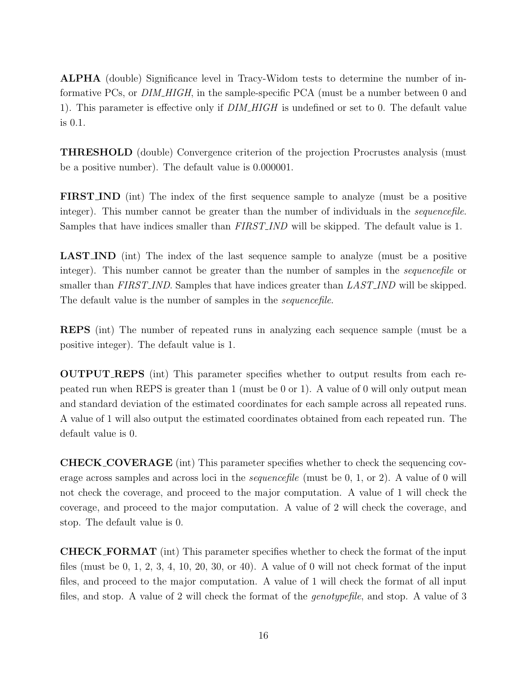ALPHA (double) Significance level in Tracy-Widom tests to determine the number of informative PCs, or *DIM\_HIGH*, in the sample-specific PCA (must be a number between 0 and 1). This parameter is effective only if *DIM\_HIGH* is undefined or set to 0. The default value is 0.1.

THRESHOLD (double) Convergence criterion of the projection Procrustes analysis (must be a positive number). The default value is 0.000001.

FIRST IND (int) The index of the first sequence sample to analyze (must be a positive integer). This number cannot be greater than the number of individuals in the *sequencefile*. Samples that have indices smaller than FIRST IND will be skipped. The default value is 1.

LAST IND (int) The index of the last sequence sample to analyze (must be a positive integer). This number cannot be greater than the number of samples in the *sequencefile* or smaller than FIRST\_IND. Samples that have indices greater than LAST\_IND will be skipped. The default value is the number of samples in the *sequencefile*.

REPS (int) The number of repeated runs in analyzing each sequence sample (must be a positive integer). The default value is 1.

OUTPUT REPS (int) This parameter specifies whether to output results from each repeated run when REPS is greater than 1 (must be 0 or 1). A value of 0 will only output mean and standard deviation of the estimated coordinates for each sample across all repeated runs. A value of 1 will also output the estimated coordinates obtained from each repeated run. The default value is 0.

CHECK COVERAGE (int) This parameter specifies whether to check the sequencing coverage across samples and across loci in the sequencefile (must be 0, 1, or 2). A value of 0 will not check the coverage, and proceed to the major computation. A value of 1 will check the coverage, and proceed to the major computation. A value of 2 will check the coverage, and stop. The default value is 0.

CHECK FORMAT (int) This parameter specifies whether to check the format of the input files (must be 0, 1, 2, 3, 4, 10, 20, 30, or 40). A value of 0 will not check format of the input files, and proceed to the major computation. A value of 1 will check the format of all input files, and stop. A value of 2 will check the format of the genotypefile, and stop. A value of 3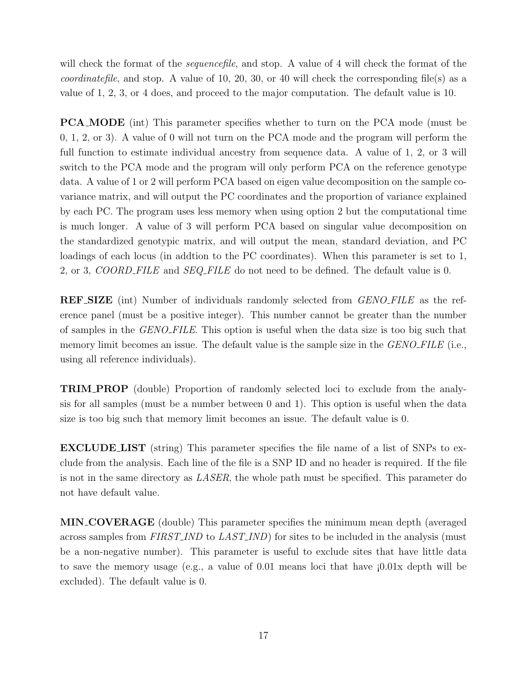will check the format of the *sequencefile*, and stop. A value of 4 will check the format of the *coordinatefile*, and stop. A value of 10, 20, 30, or 40 will check the corresponding file(s) as a value of 1, 2, 3, or 4 does, and proceed to the major computation. The default value is 10.

PCA MODE (int) This parameter specifies whether to turn on the PCA mode (must be 0, 1, 2, or 3). A value of 0 will not turn on the PCA mode and the program will perform the full function to estimate individual ancestry from sequence data. A value of 1, 2, or 3 will switch to the PCA mode and the program will only perform PCA on the reference genotype data. A value of 1 or 2 will perform PCA based on eigen value decomposition on the sample covariance matrix, and will output the PC coordinates and the proportion of variance explained by each PC. The program uses less memory when using option 2 but the computational time is much longer. A value of 3 will perform PCA based on singular value decomposition on the standardized genotypic matrix, and will output the mean, standard deviation, and PC loadings of each locus (in addtion to the PC coordinates). When this parameter is set to 1, 2, or 3, *COORD\_FILE* and *SEQ\_FILE* do not need to be defined. The default value is 0.

**REF SIZE** (int) Number of individuals randomly selected from *GENO FILE* as the reference panel (must be a positive integer). This number cannot be greater than the number of samples in the GENO FILE. This option is useful when the data size is too big such that memory limit becomes an issue. The default value is the sample size in the *GENO\_FILE* (i.e., using all reference individuals).

TRIM PROP (double) Proportion of randomly selected loci to exclude from the analysis for all samples (must be a number between 0 and 1). This option is useful when the data size is too big such that memory limit becomes an issue. The default value is 0.

EXCLUDE LIST (string) This parameter specifies the file name of a list of SNPs to exclude from the analysis. Each line of the file is a SNP ID and no header is required. If the file is not in the same directory as LASER, the whole path must be specified. This parameter do not have default value.

MIN COVERAGE (double) This parameter specifies the minimum mean depth (averaged across samples from FIRST\_IND to LAST\_IND) for sites to be included in the analysis (must be a non-negative number). This parameter is useful to exclude sites that have little data to save the memory usage (e.g., a value of 0.01 means loci that have ¡0.01x depth will be excluded). The default value is 0.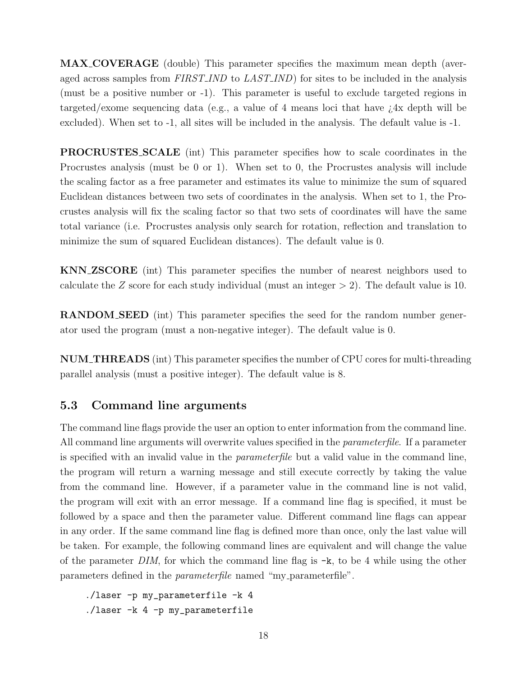MAX COVERAGE (double) This parameter specifies the maximum mean depth (averaged across samples from FIRST\_IND to LAST\_IND) for sites to be included in the analysis (must be a positive number or -1). This parameter is useful to exclude targeted regions in targeted/exome sequencing data (e.g., a value of 4 means loci that have ¿4x depth will be excluded). When set to -1, all sites will be included in the analysis. The default value is -1.

PROCRUSTES SCALE (int) This parameter specifies how to scale coordinates in the Procrustes analysis (must be 0 or 1). When set to 0, the Procrustes analysis will include the scaling factor as a free parameter and estimates its value to minimize the sum of squared Euclidean distances between two sets of coordinates in the analysis. When set to 1, the Procrustes analysis will fix the scaling factor so that two sets of coordinates will have the same total variance (i.e. Procrustes analysis only search for rotation, reflection and translation to minimize the sum of squared Euclidean distances). The default value is 0.

KNN ZSCORE (int) This parameter specifies the number of nearest neighbors used to calculate the Z score for each study individual (must an integer  $> 2$ ). The default value is 10.

RANDOM SEED (int) This parameter specifies the seed for the random number generator used the program (must a non-negative integer). The default value is 0.

NUM THREADS (int) This parameter specifies the number of CPU cores for multi-threading parallel analysis (must a positive integer). The default value is 8.

## <span id="page-18-0"></span>5.3 Command line arguments

The command line flags provide the user an option to enter information from the command line. All command line arguments will overwrite values specified in the *parameterfile*. If a parameter is specified with an invalid value in the parameterfile but a valid value in the command line, the program will return a warning message and still execute correctly by taking the value from the command line. However, if a parameter value in the command line is not valid, the program will exit with an error message. If a command line flag is specified, it must be followed by a space and then the parameter value. Different command line flags can appear in any order. If the same command line flag is defined more than once, only the last value will be taken. For example, the following command lines are equivalent and will change the value of the parameter DIM, for which the command line flag is  $-k$ , to be 4 while using the other parameters defined in the parameterfile named "my parameterfile".

./laser -p my\_parameterfile -k 4 ./laser -k 4 -p my\_parameterfile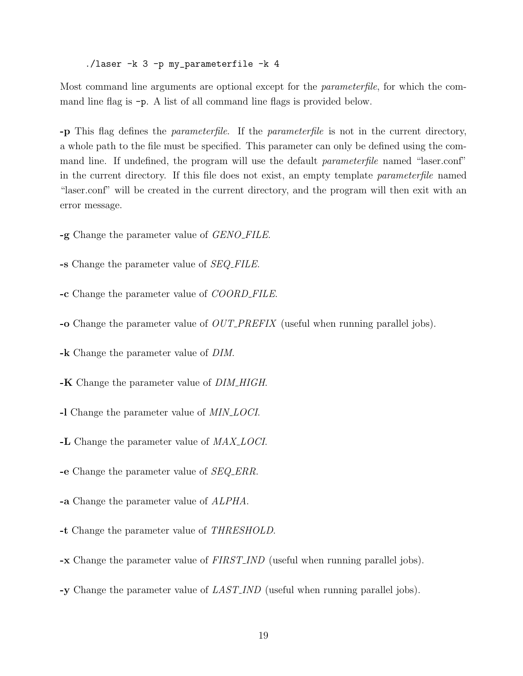./laser -k 3 -p my\_parameterfile -k 4

Most command line arguments are optional except for the parameterfile, for which the command line flag is -p. A list of all command line flags is provided below.

-p This flag defines the parameterfile. If the parameterfile is not in the current directory, a whole path to the file must be specified. This parameter can only be defined using the command line. If undefined, the program will use the default parameterfile named "laser.conf" in the current directory. If this file does not exist, an empty template parameterfile named "laser.conf" will be created in the current directory, and the program will then exit with an error message.

- -g Change the parameter value of *GENO\_FILE*.
- -s Change the parameter value of SEQ FILE.
- -c Change the parameter value of COORD FILE.
- -o Change the parameter value of OUT PREFIX (useful when running parallel jobs).
- -k Change the parameter value of DIM.
- -K Change the parameter value of *DIM\_HIGH*.
- -I Change the parameter value of *MIN<sub>-LOCI*.</sub>
- -L Change the parameter value of  $MAX\_LOCI$ .
- -e Change the parameter value of SEQ ERR.
- -a Change the parameter value of ALPHA.
- -t Change the parameter value of THRESHOLD.
- -x Change the parameter value of FIRST IND (useful when running parallel jobs).
- -y Change the parameter value of LAST IND (useful when running parallel jobs).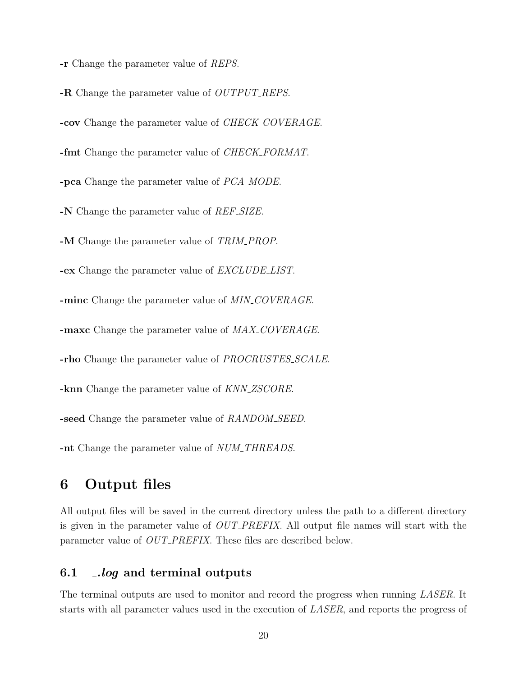-r Change the parameter value of REPS.

-R Change the parameter value of *OUTPUT\_REPS*. -cov Change the parameter value of CHECK COVERAGE. -fmt Change the parameter value of *CHECK\_FORMAT*. -pca Change the parameter value of PCA MODE. -N Change the parameter value of *REF\_SIZE*. -M Change the parameter value of TRIM\_PROP. **-ex** Change the parameter value of *EXCLUDE\_LIST*. -minc Change the parameter value of MIN\_COVERAGE. -maxc Change the parameter value of  $MAX\_COVERAGE$ . -rho Change the parameter value of *PROCRUSTES\_SCALE*. -knn Change the parameter value of KNN\_ZSCORE. -seed Change the parameter value of RANDOM\_SEED.

-nt Change the parameter value of *NUM\_THREADS*.

# <span id="page-20-0"></span>6 Output files

All output files will be saved in the current directory unless the path to a different directory is given in the parameter value of OUT PREFIX. All output file names will start with the parameter value of *OUT\_PREFIX*. These files are described below.

#### <span id="page-20-1"></span>6.1 .*log* and terminal outputs

The terminal outputs are used to monitor and record the progress when running LASER. It starts with all parameter values used in the execution of LASER, and reports the progress of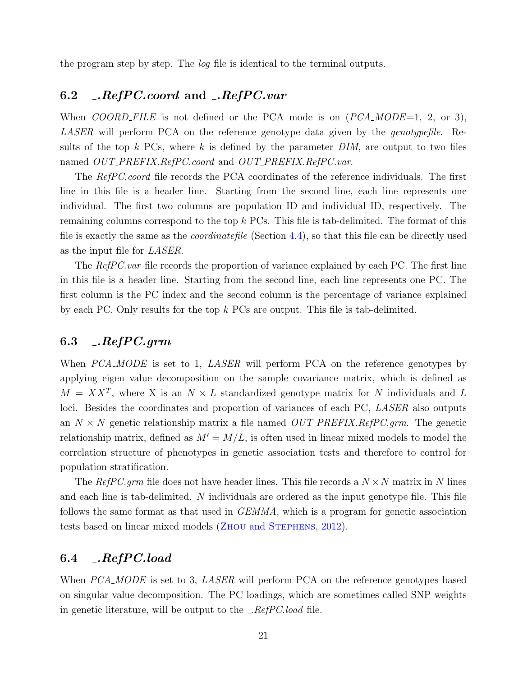the program step by step. The log file is identical to the terminal outputs.

## <span id="page-21-0"></span>6.2 .RefPC.coord and .RefPC.var

When COORD FILE is not defined or the PCA mode is on  $(PCA \text{.} MODE=1, 2, \text{ or } 3)$ , LASER will perform PCA on the reference genotype data given by the *genotypefile*. Results of the top k PCs, where k is defined by the parameter  $DIM$ , are output to two files named OUT\_PREFIX.RefPC.coord and OUT\_PREFIX.RefPC.var.

The RefPC.coord file records the PCA coordinates of the reference individuals. The first line in this file is a header line. Starting from the second line, each line represents one individual. The first two columns are population ID and individual ID, respectively. The remaining columns correspond to the top k PCs. This file is tab-delimited. The format of this file is exactly the same as the coordinatefile (Section [4.4\)](#page-14-0), so that this file can be directly used as the input file for LASER.

The RefPC.var file records the proportion of variance explained by each PC. The first line in this file is a header line. Starting from the second line, each line represents one PC. The first column is the PC index and the second column is the percentage of variance explained by each PC. Only results for the top k PCs are output. This file is tab-delimited.

#### <span id="page-21-1"></span> $6.3$   $\ldots$   $RefPC. grm$

When PCA\_MODE is set to 1, LASER will perform PCA on the reference genotypes by applying eigen value decomposition on the sample covariance matrix, which is defined as  $M = XX<sup>T</sup>$ , where X is an  $N \times L$  standardized genotype matrix for N individuals and L loci. Besides the coordinates and proportion of variances of each PC, LASER also outputs an  $N \times N$  genetic relationship matrix a file named  $OUT\_PREFIX.RefPC.grm$ . The genetic relationship matrix, defined as  $M' = M/L$ , is often used in linear mixed models to model the correlation structure of phenotypes in genetic association tests and therefore to control for population stratification.

The RefPC grm file does not have header lines. This file records a  $N \times N$  matrix in N lines and each line is tab-delimited. N individuals are ordered as the input genotype file. This file follows the same format as that used in GEMMA, which is a program for genetic association tests based on linear mixed models (Zhou and [Stephens](#page-27-8), [2012\)](#page-27-8).

# <span id="page-21-2"></span>6.4 .RefPC.load

When *PCA\_MODE* is set to 3, *LASER* will perform PCA on the reference genotypes based on singular value decomposition. The PC loadings, which are sometimes called SNP weights in genetic literature, will be output to the  $\angle$  RefPC.load file.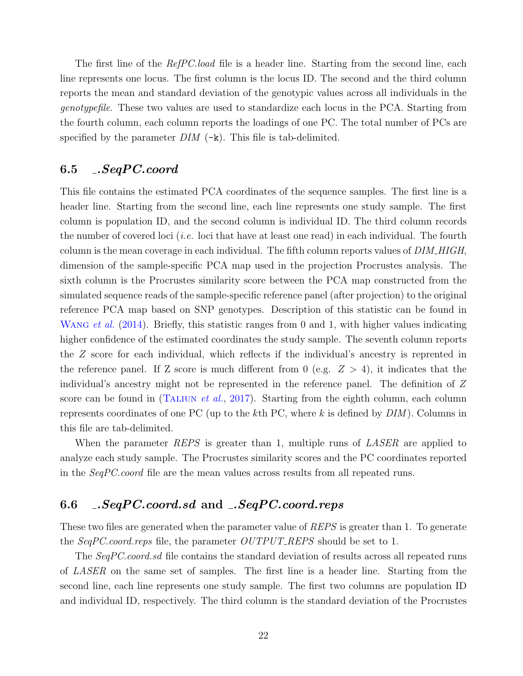The first line of the *RefPC.load* file is a header line. Starting from the second line, each line represents one locus. The first column is the locus ID. The second and the third column reports the mean and standard deviation of the genotypic values across all individuals in the genotypefile. These two values are used to standardize each locus in the PCA. Starting from the fourth column, each column reports the loadings of one PC. The total number of PCs are specified by the parameter  $DIM$  ( $-k$ ). This file is tab-delimited.

#### <span id="page-22-0"></span>6.5 .SeqPC.coord

This file contains the estimated PCA coordinates of the sequence samples. The first line is a header line. Starting from the second line, each line represents one study sample. The first column is population ID, and the second column is individual ID. The third column records the number of covered loci (i.e. loci that have at least one read) in each individual. The fourth column is the mean coverage in each individual. The fifth column reports values of  $DIM\_HIGH$ , dimension of the sample-specific PCA map used in the projection Procrustes analysis. The sixth column is the Procrustes similarity score between the PCA map constructed from the simulated sequence reads of the sample-specific reference panel (after projection) to the original reference PCA map based on SNP genotypes. Description of this statistic can be found in WANG *et al.* [\(2014\)](#page-27-2). Briefly, this statistic ranges from 0 and 1, with higher values indicating higher confidence of the estimated coordinates the study sample. The seventh column reports the Z score for each individual, which reflects if the individual's ancestry is reprented in the reference panel. If Z score is much different from 0 (e.g.  $Z > 4$ ), it indicates that the individual's ancestry might not be represented in the reference panel. The definition of Z score can be found in (TALIUN *et al.*, [2017\)](#page-27-9). Starting from the eighth column, each column represents coordinates of one PC (up to the kth PC, where k is defined by  $DIM$ ). Columns in this file are tab-delimited.

When the parameter REPS is greater than 1, multiple runs of LASER are applied to analyze each study sample. The Procrustes similarity scores and the PC coordinates reported in the SeqPC.coord file are the mean values across results from all repeated runs.

# <span id="page-22-1"></span>6.6 .SeqPC.coord.sd and .SeqPC.coord.reps

These two files are generated when the parameter value of REPS is greater than 1. To generate the SeqPC.coord.reps file, the parameter OUTPUT\_REPS should be set to 1.

The SeqPC.coord.sd file contains the standard deviation of results across all repeated runs of LASER on the same set of samples. The first line is a header line. Starting from the second line, each line represents one study sample. The first two columns are population ID and individual ID, respectively. The third column is the standard deviation of the Procrustes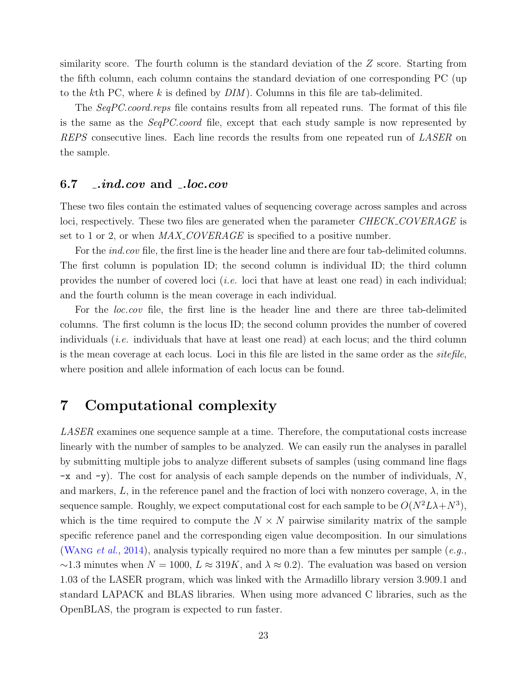similarity score. The fourth column is the standard deviation of the Z score. Starting from the fifth column, each column contains the standard deviation of one corresponding PC (up to the kth PC, where k is defined by  $DIM$ ). Columns in this file are tab-delimited.

The SeqPC.coord.reps file contains results from all repeated runs. The format of this file is the same as the SeqPC.coord file, except that each study sample is now represented by REPS consecutive lines. Each line records the results from one repeated run of LASER on the sample.

#### <span id="page-23-0"></span>6.7 .ind.cov and .loc.cov

These two files contain the estimated values of sequencing coverage across samples and across loci, respectively. These two files are generated when the parameter CHECK COVERAGE is set to 1 or 2, or when  $MAX\_COVERAGE$  is specified to a positive number.

For the *ind.cov* file, the first line is the header line and there are four tab-delimited columns. The first column is population ID; the second column is individual ID; the third column provides the number of covered loci (i.e. loci that have at least one read) in each individual; and the fourth column is the mean coverage in each individual.

For the *loc.cov* file, the first line is the header line and there are three tab-delimited columns. The first column is the locus ID; the second column provides the number of covered individuals (i.e. individuals that have at least one read) at each locus; and the third column is the mean coverage at each locus. Loci in this file are listed in the same order as the sitefile, where position and allele information of each locus can be found.

# <span id="page-23-1"></span>7 Computational complexity

LASER examines one sequence sample at a time. Therefore, the computational costs increase linearly with the number of samples to be analyzed. We can easily run the analyses in parallel by submitting multiple jobs to analyze different subsets of samples (using command line flags  $-x$  and  $-y$ ). The cost for analysis of each sample depends on the number of individuals, N, and markers, L, in the reference panel and the fraction of loci with nonzero coverage,  $\lambda$ , in the sequence sample. Roughly, we expect computational cost for each sample to be  $O(N^2L\lambda+N^3)$ , which is the time required to compute the  $N \times N$  pairwise similarity matrix of the sample specific reference panel and the corresponding eigen value decomposition. In our simulations (WANG et al., [2014\)](#page-27-2), analysis typically required no more than a few minutes per sample  $(e.g.,)$  $\sim$ 1.3 minutes when  $N = 1000, L \approx 319K$ , and  $\lambda \approx 0.2$ ). The evaluation was based on version 1.03 of the LASER program, which was linked with the Armadillo library version 3.909.1 and standard LAPACK and BLAS libraries. When using more advanced C libraries, such as the OpenBLAS, the program is expected to run faster.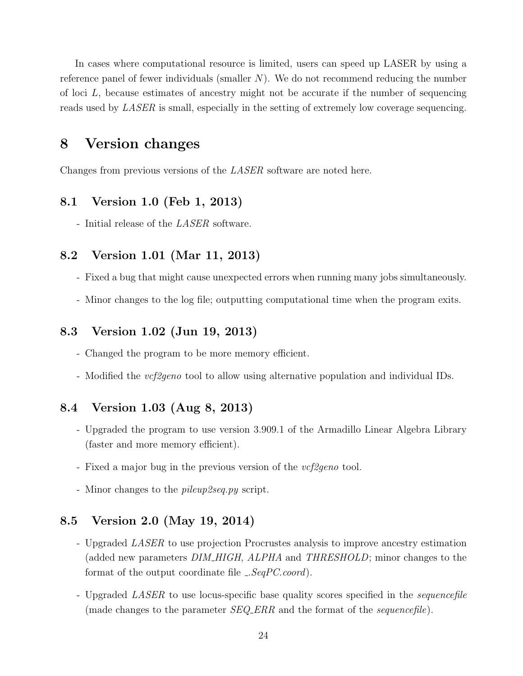In cases where computational resource is limited, users can speed up LASER by using a reference panel of fewer individuals (smaller  $N$ ). We do not recommend reducing the number of loci  $L$ , because estimates of ancestry might not be accurate if the number of sequencing reads used by LASER is small, especially in the setting of extremely low coverage sequencing.

# <span id="page-24-0"></span>8 Version changes

Changes from previous versions of the LASER software are noted here.

#### <span id="page-24-1"></span>8.1 Version 1.0 (Feb 1, 2013)

- Initial release of the *LASER* software.

#### <span id="page-24-2"></span>8.2 Version 1.01 (Mar 11, 2013)

- Fixed a bug that might cause unexpected errors when running many jobs simultaneously.
- Minor changes to the log file; outputting computational time when the program exits.

#### <span id="page-24-3"></span>8.3 Version 1.02 (Jun 19, 2013)

- Changed the program to be more memory efficient.
- Modified the *vcf2geno* tool to allow using alternative population and individual IDs.

## <span id="page-24-4"></span>8.4 Version 1.03 (Aug 8, 2013)

- Upgraded the program to use version 3.909.1 of the Armadillo Linear Algebra Library (faster and more memory efficient).
- Fixed a major bug in the previous version of the *vcf2geno* tool.
- Minor changes to the *pileup2seq.py* script.

#### <span id="page-24-5"></span>8.5 Version 2.0 (May 19, 2014)

- Upgraded LASER to use projection Procrustes analysis to improve ancestry estimation (added new parameters *DIM\_HIGH, ALPHA* and *THRESHOLD*; minor changes to the format of the output coordinate file  $...SeqPC.cord$ .
- Upgraded LASER to use locus-specific base quality scores specified in the sequencefile (made changes to the parameter  $SEQ$  ERR and the format of the *sequencefile*).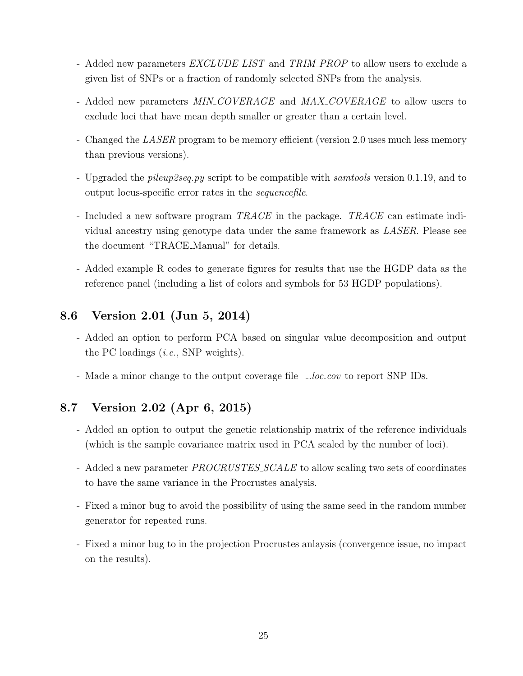- Added new parameters  $EXCLUDELLIST$  and TRIM\_PROP to allow users to exclude a given list of SNPs or a fraction of randomly selected SNPs from the analysis.
- Added new parameters MIN\_COVERAGE and MAX\_COVERAGE to allow users to exclude loci that have mean depth smaller or greater than a certain level.
- Changed the *LASER* program to be memory efficient (version 2.0 uses much less memory than previous versions).
- Upgraded the pileup2seq.py script to be compatible with samtools version 0.1.19, and to output locus-specific error rates in the sequencefile.
- Included a new software program TRACE in the package. TRACE can estimate individual ancestry using genotype data under the same framework as LASER. Please see the document "TRACE Manual" for details.
- Added example R codes to generate figures for results that use the HGDP data as the reference panel (including a list of colors and symbols for 53 HGDP populations).

## <span id="page-25-0"></span>8.6 Version 2.01 (Jun 5, 2014)

- Added an option to perform PCA based on singular value decomposition and output the PC loadings (i.e., SNP weights).
- Made a minor change to the output coverage file *\_loc.cov* to report SNP IDs.

## <span id="page-25-1"></span>8.7 Version 2.02 (Apr 6, 2015)

- Added an option to output the genetic relationship matrix of the reference individuals (which is the sample covariance matrix used in PCA scaled by the number of loci).
- Added a new parameter *PROCRUSTES\_SCALE* to allow scaling two sets of coordinates to have the same variance in the Procrustes analysis.
- Fixed a minor bug to avoid the possibility of using the same seed in the random number generator for repeated runs.
- Fixed a minor bug to in the projection Procrustes anlaysis (convergence issue, no impact on the results).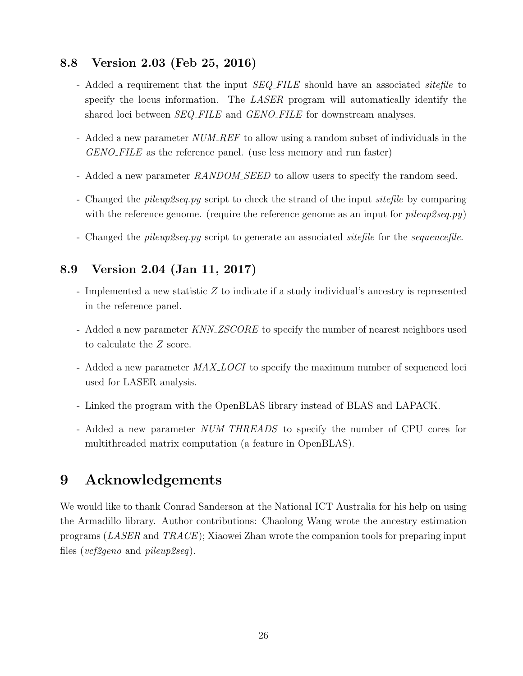## <span id="page-26-0"></span>8.8 Version 2.03 (Feb 25, 2016)

- Added a requirement that the input SEQ FILE should have an associated *sitefile* to specify the locus information. The LASER program will automatically identify the shared loci between *SEQ\_FILE* and *GENO\_FILE* for downstream analyses.
- Added a new parameter NUM REF to allow using a random subset of individuals in the GENO\_FILE as the reference panel. (use less memory and run faster)
- Added a new parameter RANDOM SEED to allow users to specify the random seed.
- Changed the *pileup2seq.py* script to check the strand of the input *sitefile* by comparing with the reference genome. (require the reference genome as an input for  $pileup2sea.py$ )
- Changed the *pileup2seq.py* script to generate an associated *sitefile* for the *sequencefile*.

## <span id="page-26-1"></span>8.9 Version 2.04 (Jan 11, 2017)

- Implemented a new statistic Z to indicate if a study individual's ancestry is represented in the reference panel.
- Added a new parameter KNN\_ZSCORE to specify the number of nearest neighbors used to calculate the Z score.
- Added a new parameter  $MAX\_LOCI$  to specify the maximum number of sequenced loci used for LASER analysis.
- Linked the program with the OpenBLAS library instead of BLAS and LAPACK.
- Added a new parameter NUM\_THREADS to specify the number of CPU cores for multithreaded matrix computation (a feature in OpenBLAS).

# <span id="page-26-2"></span>9 Acknowledgements

We would like to thank Conrad Sanderson at the National ICT Australia for his help on using the Armadillo library. Author contributions: Chaolong Wang wrote the ancestry estimation programs (LASER and TRACE); Xiaowei Zhan wrote the companion tools for preparing input files (vcf2geno and pileup2seq).